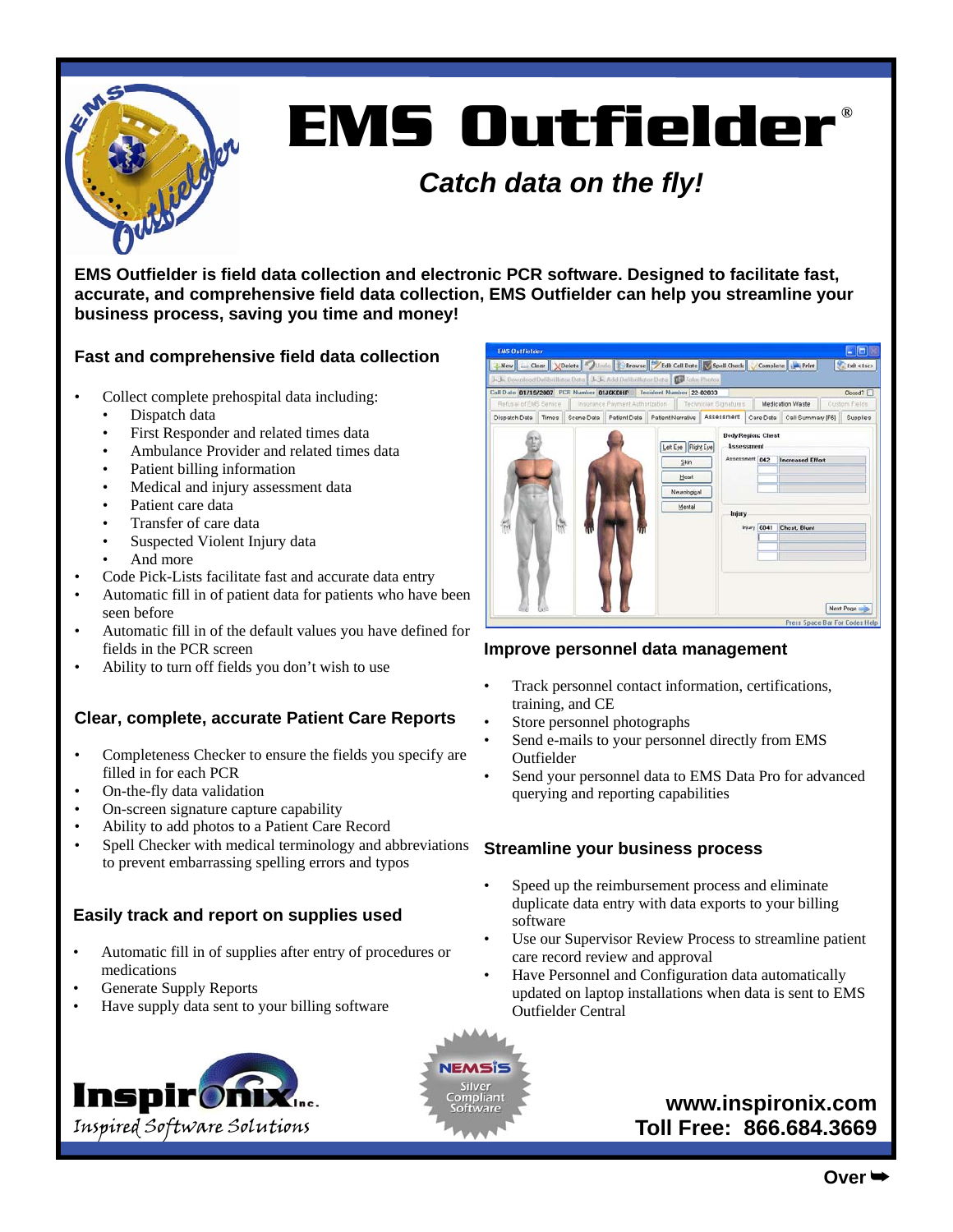

# **EMS Outfielder ®**

### *Catch data on the fly!*

**EMS Outfielder is field data collection and electronic PCR software. Designed to facilitate fast, accurate, and comprehensive field data collection, EMS Outfielder can help you streamline your business process, saving you time and money!** 

#### **Fast and comprehensive field data collection**

- Collect complete prehospital data including:
	- Dispatch data
	- First Responder and related times data
	- Ambulance Provider and related times data
	- Patient billing information
	- Medical and injury assessment data
	- Patient care data
	- Transfer of care data
	- Suspected Violent Injury data
	- And more
- Code Pick-Lists facilitate fast and accurate data entry
- Automatic fill in of patient data for patients who have been seen before
- Automatic fill in of the default values you have defined for fields in the PCR screen
- Ability to turn off fields you don't wish to use

#### **Clear, complete, accurate Patient Care Reports**

- Completeness Checker to ensure the fields you specify are filled in for each PCR
- On-the-fly data validation
- On-screen signature capture capability
- Ability to add photos to a Patient Care Record
- Spell Checker with medical terminology and abbreviations to prevent embarrassing spelling errors and typos

#### **Easily track and report on supplies used**

- Automatic fill in of supplies after entry of procedures or medications
- Generate Supply Reports
- Have supply data sent to your billing software





| <b>EMS Outfielder</b>                                                    |  |                                               |                                                         |                                                               |  |            |                                                                                        |                                                                            |  |                           |
|--------------------------------------------------------------------------|--|-----------------------------------------------|---------------------------------------------------------|---------------------------------------------------------------|--|------------|----------------------------------------------------------------------------------------|----------------------------------------------------------------------------|--|---------------------------|
| J. J. Download Defibrillator Data J. J. Add Defibrillator Data Definitor |  |                                               |                                                         |                                                               |  |            |                                                                                        | New Clear VDelete Dundo Browse Edit Call Date V Spell Check Complete Print |  | Exh <esca< th=""></esca<> |
| Call Date 01/19/2007 PCR Number 01J6KDHP Incident Number 22-02833        |  |                                               |                                                         |                                                               |  |            |                                                                                        |                                                                            |  | Closed?                   |
| Refusal of EMS Service                                                   |  |                                               | Insurance Payment Authorization   Technician Signatures |                                                               |  |            |                                                                                        | <b>Medication Waste</b>                                                    |  | Custom Fields             |
| Times<br>Dispatch Data                                                   |  | Scene Data   Patient Data   Patient Narrative |                                                         |                                                               |  | Assessment | Care Data                                                                              | Call Summary IF61                                                          |  | Supplies                  |
|                                                                          |  |                                               |                                                         | Left Eye Right Eye<br>Skin<br>Heart<br>Neurologigal<br>Mental |  | Injury     | <b>Body Region: Chest</b><br><b>Assessment</b><br>Assessment 042<br><b>Injury 6041</b> | <b>Increased Effort</b><br><b>Chest, Blunt</b>                             |  |                           |
|                                                                          |  |                                               |                                                         |                                                               |  |            |                                                                                        | Press Space Bar For Codes Help                                             |  | Next Page                 |

#### **Improve personnel data management**

- Track personnel contact information, certifications, training, and CE
- Store personnel photographs
- Send e-mails to your personnel directly from EMS Outfielder
- Send your personnel data to EMS Data Pro for advanced querying and reporting capabilities

#### **Streamline your business process**

- Speed up the reimbursement process and eliminate duplicate data entry with data exports to your billing software
- Use our Supervisor Review Process to streamline patient care record review and approval
- Have Personnel and Configuration data automatically updated on laptop installations when data is sent to EMS Outfielder Central

## **www.inspironix.com**